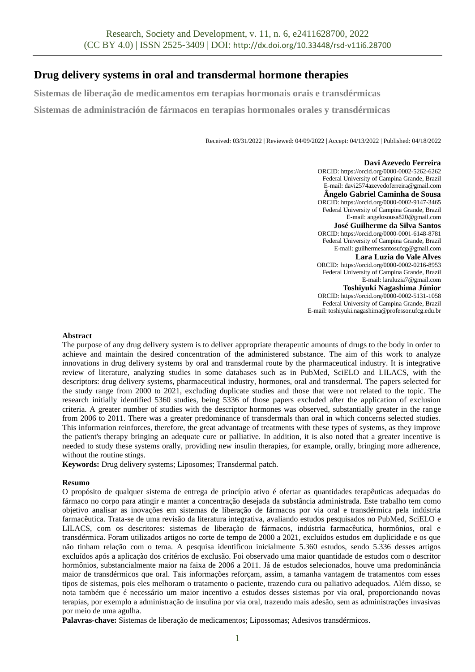# **Drug delivery systems in oral and transdermal hormone therapies**

**Sistemas de liberação de medicamentos em terapias hormonais orais e transdérmicas**

**Sistemas de administración de fármacos en terapias hormonales orales y transdérmicas**

Received: 03/31/2022 | Reviewed: 04/09/2022 | Accept: 04/13/2022 | Published: 04/18/2022

### **Davi Azevedo Ferreira**

ORCID[: https://orcid.org/0000-0002-5262-6262](https://orcid.org/0000-0002-5262-6262) Federal University of Campina Grande, Brazil E-mail[: davi2574azevedoferreira@gmail.com](mailto:davi2574azevedoferreira@gmail.com) **Ângelo Gabriel Caminha de Sousa** ORCID[: https://orcid.org/0000-0002-9147-3465](https://orcid.org/0000-0002-9147-3465) Federal University of Campina Grande, Brazil E-mail[: angelosousa820@gmail.com](mailto:angelosousa820@gmail.com) **José Guilherme da Silva Santos** ORCID[: https://orcid.org/0000-0001-6148-8781](https://orcid.org/0000-0001-6148-8781) Federal University of Campina Grande, Brazil E-mail[: guilhermesantosufcg@gmail.com](mailto:guilhermesantosufcg@gmail.com) **Lara Luzia do Vale Alves** ORCID: <https://orcid.org/0000-0002-0216-8953> Federal University of Campina Grande, Brazil E-mail[: laraluzia7@gmail.com](mailto:laraluzia7@gmail.com) **Toshiyuki Nagashima Júnior** ORCID[: https://orcid.org/0000-0002-5131-1058](https://orcid.org/0000-0002-5131-1058) Federal University of Campina Grande, Brazil E-mail[: toshiyuki.nagashima@professor.ufcg.edu.br](mailto:toshiyuki.nagashima@professor.ufcg.edu.br)

### **Abstract**

The purpose of any drug delivery system is to deliver appropriate therapeutic amounts of drugs to the body in order to achieve and maintain the desired concentration of the administered substance. The aim of this work to analyze innovations in drug delivery systems by oral and transdermal route by the pharmaceutical industry. It is integrative review of literature, analyzing studies in some databases such as in PubMed, SciELO and LILACS, with the descriptors: drug delivery systems, pharmaceutical industry, hormones, oral and transdermal. The papers selected for the study range from 2000 to 2021, excluding duplicate studies and those that were not related to the topic. The research initially identified 5360 studies, being 5336 of those papers excluded after the application of exclusion criteria. A greater number of studies with the descriptor hormones was observed, substantially greater in the range from 2006 to 2011. There was a greater predominance of transdermals than oral in which concerns selected studies. This information reinforces, therefore, the great advantage of treatments with these types of systems, as they improve the patient's therapy bringing an adequate cure or palliative. In addition, it is also noted that a greater incentive is needed to study these systems orally, providing new insulin therapies, for example, orally, bringing more adherence, without the routine stings.

**Keywords:** Drug delivery systems; Liposomes; Transdermal patch.

### **Resumo**

O propósito de qualquer sistema de entrega de princípio ativo é ofertar as quantidades terapêuticas adequadas do fármaco no corpo para atingir e manter a concentração desejada da substância administrada. Este trabalho tem como objetivo analisar as inovações em sistemas de liberação de fármacos por via oral e transdérmica pela indústria farmacêutica. Trata-se de uma revisão da literatura integrativa, avaliando estudos pesquisados no PubMed, SciELO e LILACS, com os descritores: sistemas de liberação de fármacos, indústria farmacêutica, hormônios, oral e transdérmica. Foram utilizados artigos no corte de tempo de 2000 a 2021, excluídos estudos em duplicidade e os que não tinham relação com o tema. A pesquisa identificou inicialmente 5.360 estudos, sendo 5.336 desses artigos excluídos após a aplicação dos critérios de exclusão. Foi observado uma maior quantidade de estudos com o descritor hormônios, substancialmente maior na faixa de 2006 a 2011. Já de estudos selecionados, houve uma predominância maior de transdérmicos que oral. Tais informações reforçam, assim, a tamanha vantagem de tratamentos com esses tipos de sistemas, pois eles melhoram o tratamento o paciente, trazendo cura ou paliativo adequados. Além disso, se nota também que é necessário um maior incentivo a estudos desses sistemas por via oral, proporcionando novas terapias, por exemplo a administração de insulina por via oral, trazendo mais adesão, sem as administrações invasivas por meio de uma agulha.

**Palavras-chave:** Sistemas de liberação de medicamentos; Lipossomas; Adesivos transdérmicos.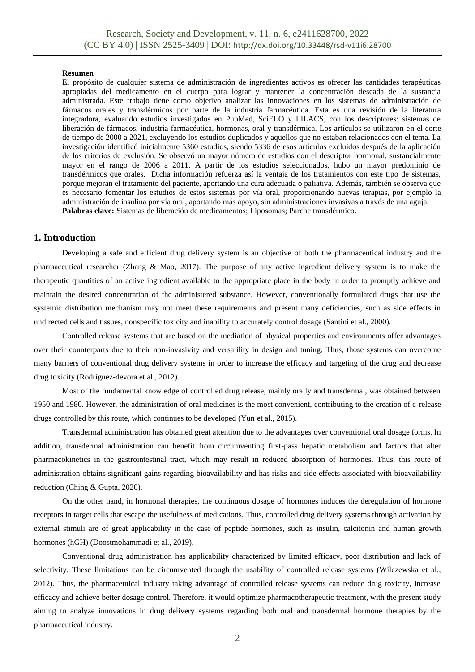#### **Resumen**

El propósito de cualquier sistema de administración de ingredientes activos es ofrecer las cantidades terapéuticas apropiadas del medicamento en el cuerpo para lograr y mantener la concentración deseada de la sustancia administrada. Este trabajo tiene como objetivo analizar las innovaciones en los sistemas de administración de fármacos orales y transdérmicos por parte de la industria farmacéutica. Esta es una revisión de la literatura integradora, evaluando estudios investigados en PubMed, SciELO y LILACS, con los descriptores: sistemas de liberación de fármacos, industria farmacéutica, hormonas, oral y transdérmica. Los artículos se utilizaron en el corte de tiempo de 2000 a 2021, excluyendo los estudios duplicados y aquellos que no estaban relacionados con el tema. La investigación identificó inicialmente 5360 estudios, siendo 5336 de esos artículos excluidos después de la aplicación de los criterios de exclusión. Se observó un mayor número de estudios con el descriptor hormonal, sustancialmente mayor en el rango de 2006 a 2011. A partir de los estudios seleccionados, hubo un mayor predominio de transdérmicos que orales. Dicha información refuerza así la ventaja de los tratamientos con este tipo de sistemas, porque mejoran el tratamiento del paciente, aportando una cura adecuada o paliativa. Además, también se observa que es necesario fomentar los estudios de estos sistemas por vía oral, proporcionando nuevas terapias, por ejemplo la administración de insulina por vía oral, aportando más apoyo, sin administraciones invasivas a través de una aguja. **Palabras clave:** Sistemas de liberación de medicamentos; Liposomas; Parche transdérmico.

### **1. Introduction**

Developing a safe and efficient drug delivery system is an objective of both the pharmaceutical industry and the pharmaceutical researcher (Zhang & Mao, 2017). The purpose of any active ingredient delivery system is to make the therapeutic quantities of an active ingredient available to the appropriate place in the body in order to promptly achieve and maintain the desired concentration of the administered substance. However, conventionally formulated drugs that use the systemic distribution mechanism may not meet these requirements and present many deficiencies, such as side effects in undirected cells and tissues, nonspecific toxicity and inability to accurately control dosage (Santini et al., 2000).

Controlled release systems that are based on the mediation of physical properties and environments offer advantages over their counterparts due to their non-invasivity and versatility in design and tuning. Thus, those systems can overcome many barriers of conventional drug delivery systems in order to increase the efficacy and targeting of the drug and decrease drug toxicity (Rodriguez-devora et al., 2012).

Most of the fundamental knowledge of controlled drug release, mainly orally and transdermal, was obtained between 1950 and 1980. However, the administration of oral medicines is the most convenient, contributing to the creation of c-release drugs controlled by this route, which continues to be developed (Yun et al., 2015).

Transdermal administration has obtained great attention due to the advantages over conventional oral dosage forms. In addition, transdermal administration can benefit from circumventing first-pass hepatic metabolism and factors that alter pharmacokinetics in the gastrointestinal tract, which may result in reduced absorption of hormones. Thus, this route of administration obtains significant gains regarding bioavailability and has risks and side effects associated with bioavailability reduction (Ching & Gupta, 2020).

On the other hand, in hormonal therapies, the continuous dosage of hormones induces the deregulation of hormone receptors in target cells that escape the usefulness of medications. Thus, controlled drug delivery systems through activation by external stimuli are of great applicability in the case of peptide hormones, such as insulin, calcitonin and human growth hormones (hGH) (Doostmohammadi et al., 2019).

Conventional drug administration has applicability characterized by limited efficacy, poor distribution and lack of selectivity. These limitations can be circumvented through the usability of controlled release systems (Wilczewska et al., 2012). Thus, the pharmaceutical industry taking advantage of controlled release systems can reduce drug toxicity, increase efficacy and achieve better dosage control. Therefore, it would optimize pharmacotherapeutic treatment, with the present study aiming to analyze innovations in drug delivery systems regarding both oral and transdermal hormone therapies by the pharmaceutical industry.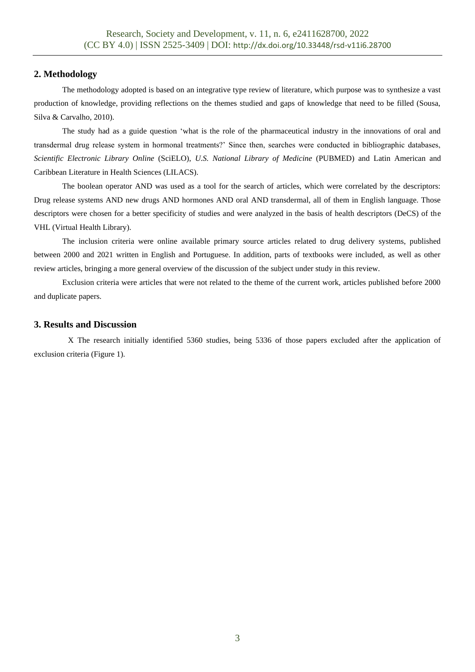# **2. Methodology**

The methodology adopted is based on an integrative type review of literature, which purpose was to synthesize a vast production of knowledge, providing reflections on the themes studied and gaps of knowledge that need to be filled (Sousa, Silva & Carvalho, 2010).

The study had as a guide question 'what is the role of the pharmaceutical industry in the innovations of oral and transdermal drug release system in hormonal treatments?' Since then, searches were conducted in bibliographic databases, *Scientific Electronic Library Online* (SciELO), *U.S. National Library of Medicine* (PUBMED) and Latin American and Caribbean Literature in Health Sciences (LILACS).

The boolean operator AND was used as a tool for the search of articles, which were correlated by the descriptors: Drug release systems AND new drugs AND hormones AND oral AND transdermal, all of them in English language. Those descriptors were chosen for a better specificity of studies and were analyzed in the basis of health descriptors (DeCS) of the VHL (Virtual Health Library).

The inclusion criteria were online available primary source articles related to drug delivery systems, published between 2000 and 2021 written in English and Portuguese. In addition, parts of textbooks were included, as well as other review articles, bringing a more general overview of the discussion of the subject under study in this review.

Exclusion criteria were articles that were not related to the theme of the current work, articles published before 2000 and duplicate papers.

## **3. Results and Discussion**

X The research initially identified 5360 studies, being 5336 of those papers excluded after the application of exclusion criteria (Figure 1).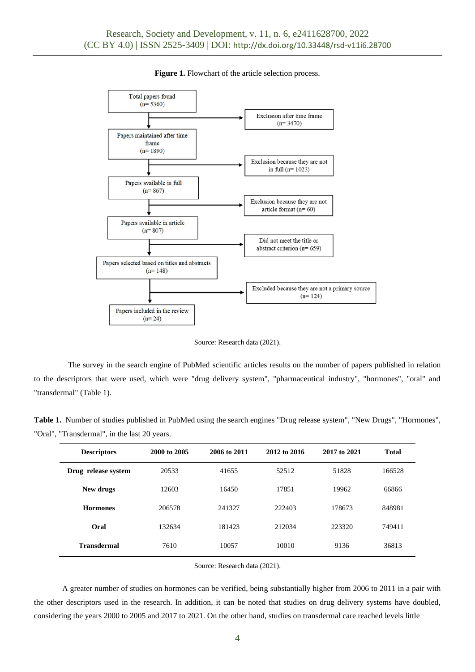

### **Figure 1.** Flowchart of the article selection process.

Source: Research data (2021).

The survey in the search engine of PubMed scientific articles results on the number of papers published in relation to the descriptors that were used, which were "drug delivery system", "pharmaceutical industry", "hormones", "oral" and "transdermal" (Table 1).

**Table 1.** Number of studies published in PubMed using the search engines "Drug release system", "New Drugs", "Hormones", "Oral", "Transdermal", in the last 20 years.

| <b>Descriptors</b>  | 2000 to 2005 | 2006 to 2011 | 2012 to 2016 | 2017 to 2021 | <b>Total</b> |
|---------------------|--------------|--------------|--------------|--------------|--------------|
| Drug release system | 20533        | 41655        | 52512        | 51828        | 166528       |
| New drugs           | 12603        | 16450        | 17851        | 19962        | 66866        |
| <b>Hormones</b>     | 206578       | 241327       | 222403       | 178673       | 848981       |
| Oral                | 132634       | 181423       | 212034       | 223320       | 749411       |
| <b>Transdermal</b>  | 7610         | 10057        | 10010        | 9136         | 36813        |

Source: Research data (2021).

A greater number of studies on hormones can be verified, being substantially higher from 2006 to 2011 in a pair with the other descriptors used in the research. In addition, it can be noted that studies on drug delivery systems have doubled, considering the years 2000 to 2005 and 2017 to 2021. On the other hand, studies on transdermal care reached levels little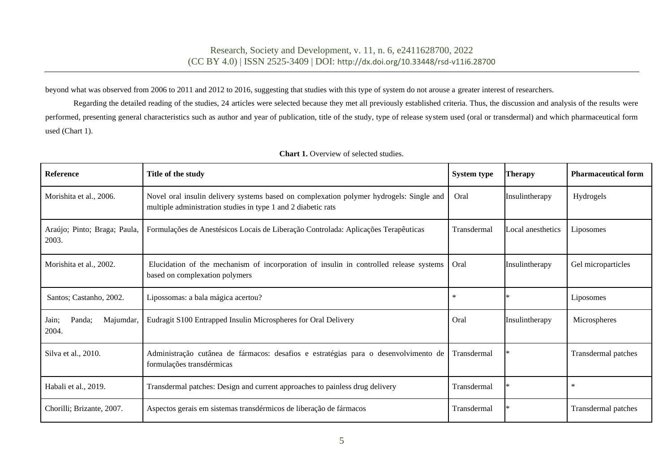beyond what was observed from 2006 to 2011 and 2012 to 2016, suggesting that studies with this type of system do not arouse a greater interest of researchers.

Regarding the detailed reading of the studies, 24 articles were selected because they met all previously established criteria. Thus, the discussion and analysis of the results were performed, presenting general characteristics such as author and year of publication, title of the study, type of release system used (oral or transdermal) and which pharmaceutical form used (Chart 1).

| <b>Reference</b>                      | Title of the study                                                                                                                                       | System type | <b>Therapy</b>    | <b>Pharmaceutical form</b> |
|---------------------------------------|----------------------------------------------------------------------------------------------------------------------------------------------------------|-------------|-------------------|----------------------------|
| Morishita et al., 2006.               | Novel oral insulin delivery systems based on complexation polymer hydrogels: Single and<br>multiple administration studies in type 1 and 2 diabetic rats | Oral        | Insulintherapy    | Hydrogels                  |
| Araújo; Pinto; Braga; Paula,<br>2003. | Formulações de Anestésicos Locais de Liberação Controlada: Aplicações Terapêuticas                                                                       | Transdermal | Local anesthetics | Liposomes                  |
| Morishita et al., 2002.               | Elucidation of the mechanism of incorporation of insulin in controlled release systems<br>based on complexation polymers                                 | Oral        | Insulintherapy    | Gel microparticles         |
| Santos; Castanho, 2002.               | Lipossomas: a bala mágica acertou?                                                                                                                       | $\ast$      |                   | Liposomes                  |
| Jain;<br>Panda:<br>Majumdar,<br>2004. | Eudragit S100 Entrapped Insulin Microspheres for Oral Delivery                                                                                           | Oral        | Insulintherapy    | Microspheres               |
| Silva et al., 2010.                   | Administração cutânea de fármacos: desafios e estratégias para o desenvolvimento de<br>formulações transdérmicas                                         | Transdermal |                   | Transdermal patches        |
| Habali et al., 2019.                  | Transdermal patches: Design and current approaches to painless drug delivery                                                                             | Transdermal |                   | $\ast$                     |
| Chorilli; Brizante, 2007.             | Aspectos gerais em sistemas transdérmicos de liberação de fármacos                                                                                       | Transdermal |                   | Transdermal patches        |

# **Chart 1.** Overview of selected studies.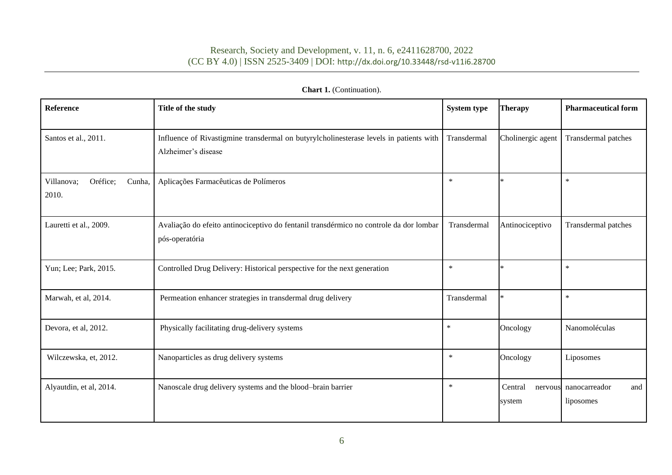# Research, Society and Development, v. 11, n. 6, e2411628700, 2022 (CC BY 4.0) | ISSN 2525-3409 | DOI: <http://dx.doi.org/10.33448/rsd-v11i6.28700>

| Reference                                 | Title of the study                                                                                            | System type                      | <b>Therapy</b>    | <b>Pharmaceutical form</b>                |  |
|-------------------------------------------|---------------------------------------------------------------------------------------------------------------|----------------------------------|-------------------|-------------------------------------------|--|
| Santos et al., 2011.                      | Influence of Rivastigmine transdermal on butyrylcholinesterase levels in patients with<br>Alzheimer's disease | Cholinergic agent<br>Transdermal |                   |                                           |  |
| Villanova;<br>Oréfice;<br>Cunha,<br>2010. | Aplicações Farmacêuticas de Polímeros                                                                         | $\ast$                           |                   | $\ast$                                    |  |
| Lauretti et al., 2009.                    | Avaliação do efeito antinociceptivo do fentanil transdérmico no controle da dor lombar<br>pós-operatória      | Transdermal                      | Antinociceptivo   | Transdermal patches                       |  |
| Yun; Lee; Park, 2015.                     | Controlled Drug Delivery: Historical perspective for the next generation                                      | $\ast$                           |                   | $\ast$                                    |  |
| Marwah, et al, 2014.                      | Permeation enhancer strategies in transdermal drug delivery                                                   | Transdermal                      |                   | $\ast$                                    |  |
| Devora, et al, 2012.                      | Physically facilitating drug-delivery systems                                                                 | $\ast$<br>Oncology               |                   | Nanomoléculas                             |  |
| Wilczewska, et, 2012.                     | Nanoparticles as drug delivery systems                                                                        | $\ast$                           | Oncology          | Liposomes                                 |  |
| Alyautdin, et al, 2014.                   | Nanoscale drug delivery systems and the blood-brain barrier                                                   | $\ast$                           | Central<br>system | nervous nanocarreador<br>and<br>liposomes |  |

# **Chart 1.** (Continuation).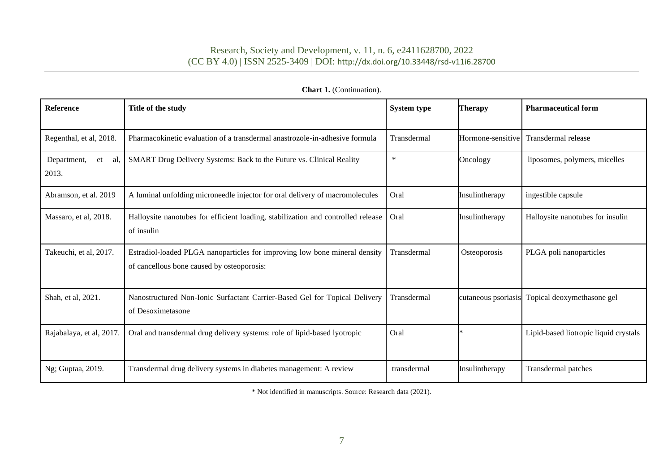| Reference                         | Title of the study                                                                                                       | <b>System type</b> | <b>Therapy</b>      | <b>Pharmaceutical form</b>            |
|-----------------------------------|--------------------------------------------------------------------------------------------------------------------------|--------------------|---------------------|---------------------------------------|
| Regenthal, et al, 2018.           | Pharmacokinetic evaluation of a transdermal anastrozole-in-adhesive formula                                              | Transdermal        | Hormone-sensitive   | Transdermal release                   |
| Department,<br>al.<br>et<br>2013. | SMART Drug Delivery Systems: Back to the Future vs. Clinical Reality                                                     | $\ast$             | Oncology            | liposomes, polymers, micelles         |
| Abramson, et al. 2019             | A luminal unfolding microneedle injector for oral delivery of macromolecules                                             | Oral               | Insulintherapy      | ingestible capsule                    |
| Massaro, et al, 2018.             | Halloysite nanotubes for efficient loading, stabilization and controlled release<br>of insulin                           | Oral               | Insulintherapy      | Halloysite nanotubes for insulin      |
| Takeuchi, et al, 2017.            | Estradiol-loaded PLGA nanoparticles for improving low bone mineral density<br>of cancellous bone caused by osteoporosis: | Transdermal        | Osteoporosis        | PLGA poli nanoparticles               |
| Shah, et al, 2021.                | Nanostructured Non-Ionic Surfactant Carrier-Based Gel for Topical Delivery<br>of Desoximetasone                          | Transdermal        | cutaneous psoriasis | Topical deoxymethasone gel            |
| Rajabalaya, et al, 2017.          | Oral and transdermal drug delivery systems: role of lipid-based lyotropic                                                | Oral               |                     | Lipid-based liotropic liquid crystals |
| Ng; Guptaa, 2019.                 | Transdermal drug delivery systems in diabetes management: A review                                                       | transdermal        | Insulintherapy      | Transdermal patches                   |

# Chart 1. (Continuation).

\* Not identified in manuscripts. Source: Research data (2021).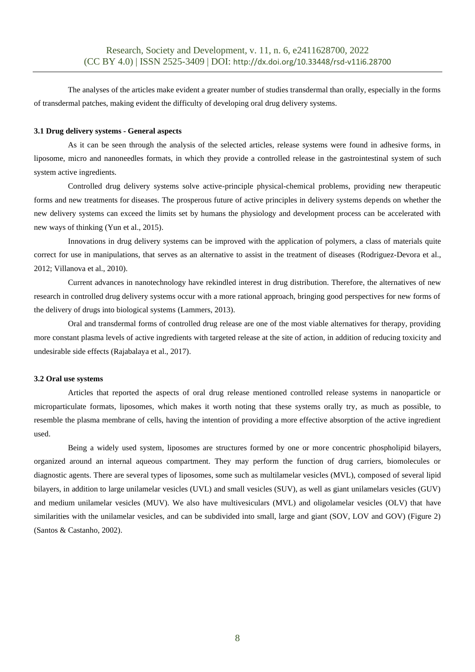The analyses of the articles make evident a greater number of studies transdermal than orally, especially in the forms of transdermal patches, making evident the difficulty of developing oral drug delivery systems.

### **3.1 Drug delivery systems - General aspects**

As it can be seen through the analysis of the selected articles, release systems were found in adhesive forms, in liposome, micro and nanoneedles formats, in which they provide a controlled release in the gastrointestinal system of such system active ingredients.

Controlled drug delivery systems solve active-principle physical-chemical problems, providing new therapeutic forms and new treatments for diseases. The prosperous future of active principles in delivery systems depends on whether the new delivery systems can exceed the limits set by humans the physiology and development process can be accelerated with new ways of thinking (Yun et al., 2015).

Innovations in drug delivery systems can be improved with the application of polymers, a class of materials quite correct for use in manipulations, that serves as an alternative to assist in the treatment of diseases (Rodriguez-Devora et al., 2012; Villanova et al., 2010).

Current advances in nanotechnology have rekindled interest in drug distribution. Therefore, the alternatives of new research in controlled drug delivery systems occur with a more rational approach, bringing good perspectives for new forms of the delivery of drugs into biological systems (Lammers, 2013).

Oral and transdermal forms of controlled drug release are one of the most viable alternatives for therapy, providing more constant plasma levels of active ingredients with targeted release at the site of action, in addition of reducing toxicity and undesirable side effects (Rajabalaya et al., 2017).

### **3.2 Oral use systems**

Articles that reported the aspects of oral drug release mentioned controlled release systems in nanoparticle or microparticulate formats, liposomes, which makes it worth noting that these systems orally try, as much as possible, to resemble the plasma membrane of cells, having the intention of providing a more effective absorption of the active ingredient used.

Being a widely used system, liposomes are structures formed by one or more concentric phospholipid bilayers, organized around an internal aqueous compartment. They may perform the function of drug carriers, biomolecules or diagnostic agents. There are several types of liposomes, some such as multilamelar vesicles (MVL), composed of several lipid bilayers, in addition to large unilamelar vesicles (UVL) and small vesicles (SUV), as well as giant unilamelars vesicles (GUV) and medium unilamelar vesicles (MUV). We also have multivesiculars (MVL) and oligolamelar vesicles (OLV) that have similarities with the unilamelar vesicles, and can be subdivided into small, large and giant (SOV, LOV and GOV) (Figure 2) (Santos & Castanho, 2002).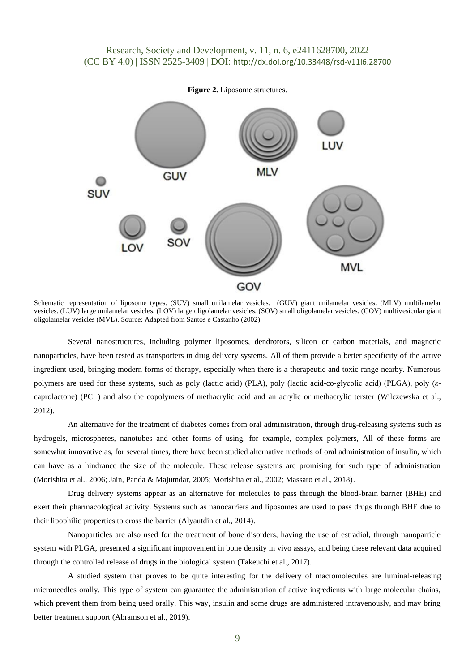**Figure 2.** Liposome structures.



Schematic representation of liposome types. (SUV) small unilamelar vesicles. (GUV) giant unilamelar vesicles. (MLV) multilamelar vesicles. (LUV) large unilamelar vesicles. (LOV) large oligolamelar vesicles. (SOV) small oligolamelar vesicles. (GOV) multivesicular giant oligolamelar vesicles (MVL). Source: Adapted from Santos e Castanho (2002).

Several nanostructures, including polymer liposomes, dendrorors, silicon or carbon materials, and magnetic nanoparticles, have been tested as transporters in drug delivery systems. All of them provide a better specificity of the active ingredient used, bringing modern forms of therapy, especially when there is a therapeutic and toxic range nearby. Numerous polymers are used for these systems, such as poly (lactic acid) (PLA), poly (lactic acid-co-glycolic acid) (PLGA), poly (εcaprolactone) (PCL) and also the copolymers of methacrylic acid and an acrylic or methacrylic terster (Wilczewska et al., 2012).

An alternative for the treatment of diabetes comes from oral administration, through drug-releasing systems such as hydrogels, microspheres, nanotubes and other forms of using, for example, complex polymers, All of these forms are somewhat innovative as, for several times, there have been studied alternative methods of oral administration of insulin, which can have as a hindrance the size of the molecule. These release systems are promising for such type of administration (Morishita et al., 2006; Jain, Panda & Majumdar, 2005; Morishita et al., 2002; Massaro et al., 2018).

Drug delivery systems appear as an alternative for molecules to pass through the blood-brain barrier (BHE) and exert their pharmacological activity. Systems such as nanocarriers and liposomes are used to pass drugs through BHE due to their lipophilic properties to cross the barrier (Alyautdin et al., 2014).

Nanoparticles are also used for the treatment of bone disorders, having the use of estradiol, through nanoparticle system with PLGA, presented a significant improvement in bone density in vivo assays, and being these relevant data acquired through the controlled release of drugs in the biological system (Takeuchi et al., 2017).

A studied system that proves to be quite interesting for the delivery of macromolecules are luminal-releasing microneedles orally. This type of system can guarantee the administration of active ingredients with large molecular chains, which prevent them from being used orally. This way, insulin and some drugs are administered intravenously, and may bring better treatment support (Abramson et al., 2019).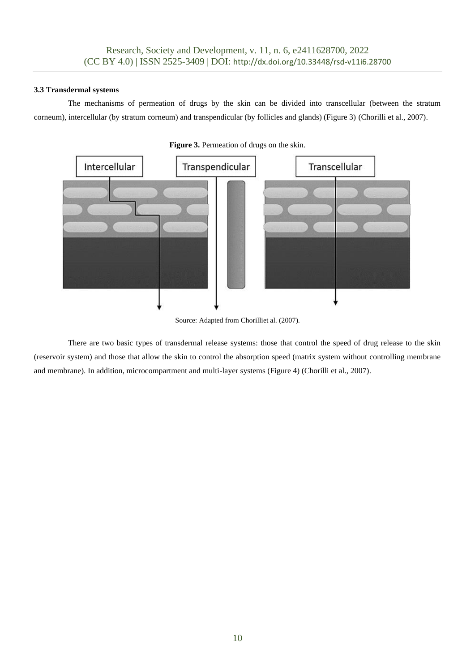## **3.3 Transdermal systems**

The mechanisms of permeation of drugs by the skin can be divided into transcellular (between the stratum corneum), intercellular (by stratum corneum) and transpendicular (by follicles and glands) (Figure 3) (Chorilli et al., 2007).





Source: Adapted from Chorilliet al. (2007).

There are two basic types of transdermal release systems: those that control the speed of drug release to the skin (reservoir system) and those that allow the skin to control the absorption speed (matrix system without controlling membrane and membrane). In addition, microcompartment and multi-layer systems (Figure 4) (Chorilli et al., 2007).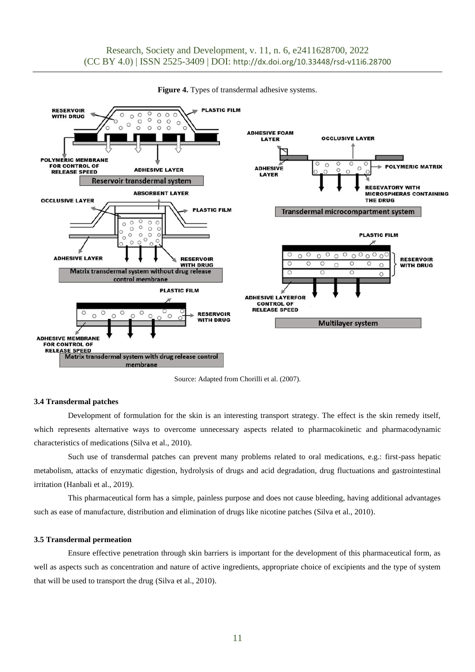

Figure 4. Types of transdermal adhesive systems.

Source: Adapted from Chorilli et al. (2007).

#### **3.4 Transdermal patches**

Development of formulation for the skin is an interesting transport strategy. The effect is the skin remedy itself, which represents alternative ways to overcome unnecessary aspects related to pharmacokinetic and pharmacodynamic characteristics of medications (Silva et al., 2010).

Such use of transdermal patches can prevent many problems related to oral medications, e.g.: first-pass hepatic metabolism, attacks of enzymatic digestion, hydrolysis of drugs and acid degradation, drug fluctuations and gastrointestinal irritation (Hanbali et al., 2019).

This pharmaceutical form has a simple, painless purpose and does not cause bleeding, having additional advantages such as ease of manufacture, distribution and elimination of drugs like nicotine patches (Silva et al., 2010).

#### **3.5 Transdermal permeation**

Ensure effective penetration through skin barriers is important for the development of this pharmaceutical form, as well as aspects such as concentration and nature of active ingredients, appropriate choice of excipients and the type of system that will be used to transport the drug (Silva et al., 2010).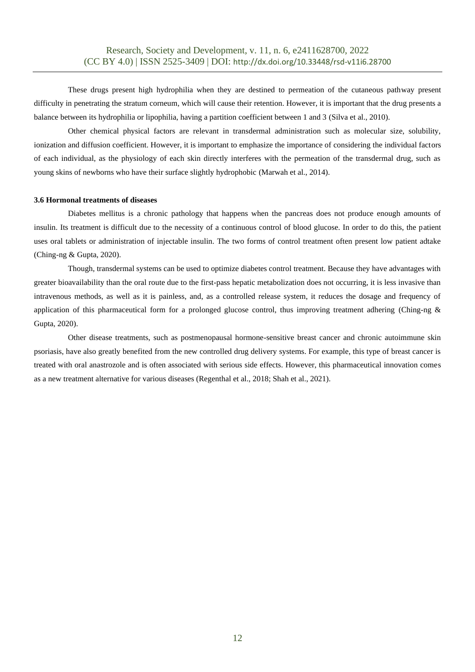These drugs present high hydrophilia when they are destined to permeation of the cutaneous pathway present difficulty in penetrating the stratum corneum, which will cause their retention. However, it is important that the drug presents a balance between its hydrophilia or lipophilia, having a partition coefficient between 1 and 3 (Silva et al., 2010).

Other chemical physical factors are relevant in transdermal administration such as molecular size, solubility, ionization and diffusion coefficient. However, it is important to emphasize the importance of considering the individual factors of each individual, as the physiology of each skin directly interferes with the permeation of the transdermal drug, such as young skins of newborns who have their surface slightly hydrophobic (Marwah et al., 2014).

#### **3.6 Hormonal treatments of diseases**

Diabetes mellitus is a chronic pathology that happens when the pancreas does not produce enough amounts of insulin. Its treatment is difficult due to the necessity of a continuous control of blood glucose. In order to do this, the patient uses oral tablets or administration of injectable insulin. The two forms of control treatment often present low patient adtake (Ching-ng & Gupta, 2020).

Though, transdermal systems can be used to optimize diabetes control treatment. Because they have advantages with greater bioavailability than the oral route due to the first-pass hepatic metabolization does not occurring, it is less invasive than intravenous methods, as well as it is painless, and, as a controlled release system, it reduces the dosage and frequency of application of this pharmaceutical form for a prolonged glucose control, thus improving treatment adhering (Ching-ng & Gupta, 2020).

Other disease treatments, such as postmenopausal hormone-sensitive breast cancer and chronic autoimmune skin psoriasis, have also greatly benefited from the new controlled drug delivery systems. For example, this type of breast cancer is treated with oral anastrozole and is often associated with serious side effects. However, this pharmaceutical innovation comes as a new treatment alternative for various diseases (Regenthal et al., 2018; Shah et al., 2021).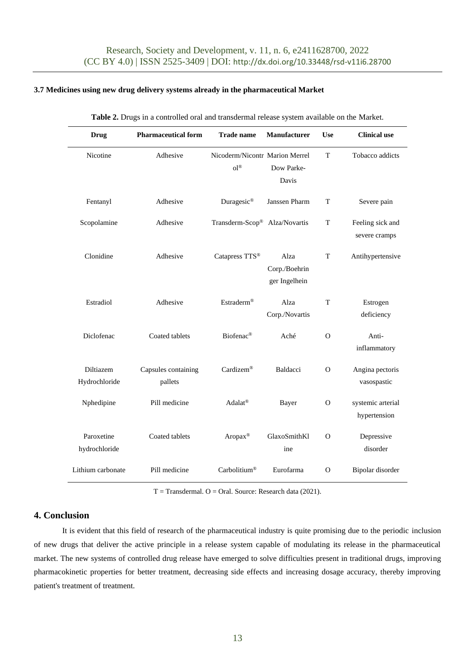### **3.7 Medicines using new drug delivery systems already in the pharmaceutical Market**

| <b>Drug</b>                 | <b>Pharmaceutical form</b>     | <b>Trade name</b>                            | <b>Manufacturer</b>                    | <b>Use</b>  | <b>Clinical use</b>               |
|-----------------------------|--------------------------------|----------------------------------------------|----------------------------------------|-------------|-----------------------------------|
| Nicotine                    | Adhesive                       | Nicoderm/Nicontr Marion Merrel<br>$O^{1(8)}$ | Dow Parke-<br>Davis                    | T           | Tobacco addicts                   |
| Fentanyl                    | Adhesive                       | Duragesic®                                   | Janssen Pharm                          | $\mathbf T$ | Severe pain                       |
| Scopolamine                 | Adhesive                       | Transderm-Scop® Alza/Novartis                |                                        | $\mathbf T$ | Feeling sick and<br>severe cramps |
| Clonidine                   | Adhesive                       | Catapress TTS®                               | Alza<br>Corp./Boehrin<br>ger Ingelhein | T           | Antihypertensive                  |
| Estradiol                   | Adhesive                       | Estraderm®                                   | Alza<br>Corp./Novartis                 | T           | Estrogen<br>deficiency            |
| Diclofenac                  | Coated tablets                 | Biofenac®                                    | Aché                                   | $\Omega$    | Anti-<br>inflammatory             |
| Diltiazem<br>Hydrochloride  | Capsules containing<br>pallets | Cardizem®                                    | Baldacci                               | $\Omega$    | Angina pectoris<br>vasospastic    |
| Nphedipine                  | Pill medicine                  | Adalat <sup>®</sup>                          | Bayer                                  | $\Omega$    | systemic arterial<br>hypertension |
| Paroxetine<br>hydrochloride | Coated tablets                 | Aropax <sup>®</sup>                          | GlaxoSmithKl<br>ine                    | $\Omega$    | Depressive<br>disorder            |
| Lithium carbonate           | Pill medicine                  | Carbolitium®                                 | Eurofarma                              | $\Omega$    | Bipolar disorder                  |

**Table 2.** Drugs in a controlled oral and transdermal release system available on the Market.

T = Transdermal. O = Oral. Source: Research data (2021).

## **4. Conclusion**

It is evident that this field of research of the pharmaceutical industry is quite promising due to the periodic inclusion of new drugs that deliver the active principle in a release system capable of modulating its release in the pharmaceutical market. The new systems of controlled drug release have emerged to solve difficulties present in traditional drugs, improving pharmacokinetic properties for better treatment, decreasing side effects and increasing dosage accuracy, thereby improving patient's treatment of treatment.